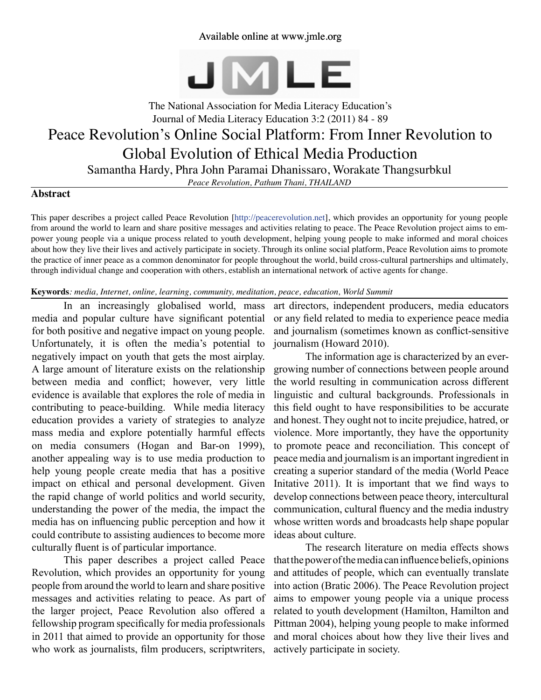# Available online at www.jmle.org



# The National Association for Media Literacy Education's Journal of Media Literacy Education 3:2 (2011) 84 - 89 Peace Revolution's Online Social Platform: From Inner Revolution to Global Evolution of Ethical Media Production Samantha Hardy, Phra John Paramai Dhanissaro, Worakate Thangsurbkul

*Peace Revolution, Pathum Thani, THAILAND*

## **Abstract**

This paper describes a project called Peace Revolution [[http://peacerevolution.net\]](http://peacerevolution.net), which provides an opportunity for young people from around the world to learn and share positive messages and activities relating to peace. The Peace Revolution project aims to empower young people via a unique process related to youth development, helping young people to make informed and moral choices about how they live their lives and actively participate in society. Through its online social platform, Peace Revolution aims to promote the practice of inner peace as a common denominator for people throughout the world, build cross-cultural partnerships and ultimately, through individual change and cooperation with others, establish an international network of active agents for change.

## **Keywords***: media, Internet, online, learning, community, meditation, peace, education, World Summit*

In an increasingly globalised world, mass media and popular culture have significant potential for both positive and negative impact on young people. Unfortunately, it is often the media's potential to negatively impact on youth that gets the most airplay. A large amount of literature exists on the relationship between media and conflict; however, very little evidence is available that explores the role of media in contributing to peace-building. While media literacy education provides a variety of strategies to analyze mass media and explore potentially harmful effects on media consumers (Hogan and Bar-on 1999), another appealing way is to use media production to help young people create media that has a positive impact on ethical and personal development. Given the rapid change of world politics and world security, understanding the power of the media, the impact the media has on influencing public perception and how it could contribute to assisting audiences to become more culturally fluent is of particular importance.

This paper describes a project called Peace Revolution, which provides an opportunity for young people from around the world to learn and share positive messages and activities relating to peace. As part of the larger project, Peace Revolution also offered a fellowship program specifically for media professionals in 2011 that aimed to provide an opportunity for those who work as journalists, film producers, scriptwriters,

art directors, independent producers, media educators or any field related to media to experience peace media and journalism (sometimes known as conflict-sensitive journalism (Howard 2010).

The information age is characterized by an evergrowing number of connections between people around the world resulting in communication across different linguistic and cultural backgrounds. Professionals in this field ought to have responsibilities to be accurate and honest. They ought not to incite prejudice, hatred, or violence. More importantly, they have the opportunity to promote peace and reconciliation. This concept of peace media and journalism is an important ingredient in creating a superior standard of the media (World Peace Initative 2011). It is important that we find ways to develop connections between peace theory, intercultural communication, cultural fluency and the media industry whose written words and broadcasts help shape popular ideas about culture.

The research literature on media effects shows that the power of the media can influence beliefs, opinions and attitudes of people, which can eventually translate into action (Bratic 2006). The Peace Revolution project aims to empower young people via a unique process related to youth development (Hamilton, Hamilton and Pittman 2004), helping young people to make informed and moral choices about how they live their lives and actively participate in society.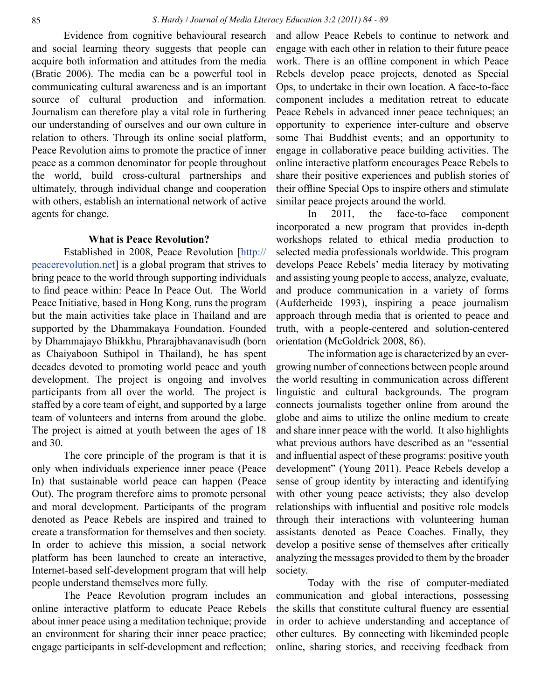Evidence from cognitive behavioural research and social learning theory suggests that people can acquire both information and attitudes from the media (Bratic 2006). The media can be a powerful tool in communicating cultural awareness and is an important source of cultural production and information. Journalism can therefore play a vital role in furthering our understanding of ourselves and our own culture in relation to others. Through its online social platform, Peace Revolution aims to promote the practice of inner peace as a common denominator for people throughout the world, build cross-cultural partnerships and ultimately, through individual change and cooperation with others, establish an international network of active agents for change.

# **What is Peace Revolution?**

Established in 2008, Peace Revolution [[http://](http://peacerevolution.net) [peacerevolution.net](http://peacerevolution.net)] is a global program that strives to bring peace to the world through supporting individuals to find peace within: Peace In Peace Out. The World Peace Initiative, based in Hong Kong, runs the program but the main activities take place in Thailand and are supported by the Dhammakaya Foundation. Founded by Dhammajayo Bhikkhu, Phrarajbhavanavisudh (born as Chaiyaboon Suthipol in Thailand), he has spent decades devoted to promoting world peace and youth development. The project is ongoing and involves participants from all over the world. The project is staffed by a core team of eight, and supported by a large team of volunteers and interns from around the globe. The project is aimed at youth between the ages of 18 and 30.

The core principle of the program is that it is only when individuals experience inner peace (Peace In) that sustainable world peace can happen (Peace Out). The program therefore aims to promote personal and moral development. Participants of the program denoted as Peace Rebels are inspired and trained to create a transformation for themselves and then society. In order to achieve this mission, a social network platform has been launched to create an interactive, Internet-based self-development program that will help people understand themselves more fully.

The Peace Revolution program includes an online interactive platform to educate Peace Rebels about inner peace using a meditation technique; provide an environment for sharing their inner peace practice; engage participants in self-development and reflection; and allow Peace Rebels to continue to network and engage with each other in relation to their future peace work. There is an offline component in which Peace Rebels develop peace projects, denoted as Special Ops, to undertake in their own location. A face-to-face component includes a meditation retreat to educate Peace Rebels in advanced inner peace techniques; an opportunity to experience inter-culture and observe some Thai Buddhist events; and an opportunity to engage in collaborative peace building activities. The online interactive platform encourages Peace Rebels to share their positive experiences and publish stories of their offline Special Ops to inspire others and stimulate similar peace projects around the world.

In 2011, the face-to-face component incorporated a new program that provides in-depth workshops related to ethical media production to selected media professionals worldwide. This program develops Peace Rebels' media literacy by motivating and assisting young people to access, analyze, evaluate, and produce communication in a variety of forms (Aufderheide 1993), inspiring a peace journalism approach through media that is oriented to peace and truth, with a people-centered and solution-centered orientation (McGoldrick 2008, 86).

The information age is characterized by an evergrowing number of connections between people around the world resulting in communication across different linguistic and cultural backgrounds. The program connects journalists together online from around the globe and aims to utilize the online medium to create and share inner peace with the world. It also highlights what previous authors have described as an "essential and influential aspect of these programs: positive youth development" (Young 2011). Peace Rebels develop a sense of group identity by interacting and identifying with other young peace activists; they also develop relationships with influential and positive role models through their interactions with volunteering human assistants denoted as Peace Coaches. Finally, they develop a positive sense of themselves after critically analyzing the messages provided to them by the broader society.

Today with the rise of computer-mediated communication and global interactions, possessing the skills that constitute cultural fluency are essential in order to achieve understanding and acceptance of other cultures. By connecting with likeminded people online, sharing stories, and receiving feedback from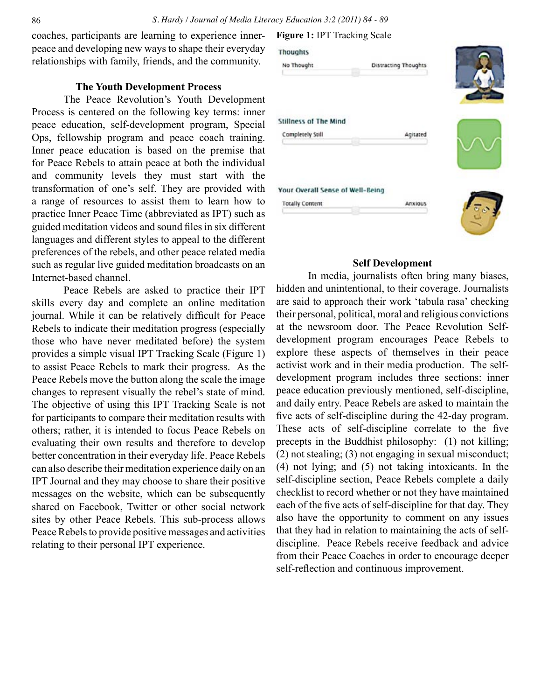coaches, participants are learning to experience innerpeace and developing new ways to shape their everyday relationships with family, friends, and the community.

## **The Youth Development Process**

The Peace Revolution's Youth Development Process is centered on the following key terms: inner peace education, self-development program, Special Ops, fellowship program and peace coach training. Inner peace education is based on the premise that for Peace Rebels to attain peace at both the individual and community levels they must start with the transformation of one's self. They are provided with a range of resources to assist them to learn how to practice Inner Peace Time (abbreviated as IPT) such as guided meditation videos and sound files in six different languages and different styles to appeal to the different preferences of the rebels, and other peace related media such as regular live guided meditation broadcasts on an Internet-based channel.

Peace Rebels are asked to practice their IPT skills every day and complete an online meditation journal. While it can be relatively difficult for Peace Rebels to indicate their meditation progress (especially those who have never meditated before) the system provides a simple visual IPT Tracking Scale (Figure 1) to assist Peace Rebels to mark their progress. As the Peace Rebels move the button along the scale the image changes to represent visually the rebel's state of mind. The objective of using this IPT Tracking Scale is not for participants to compare their meditation results with others; rather, it is intended to focus Peace Rebels on evaluating their own results and therefore to develop better concentration in their everyday life. Peace Rebels can also describe their meditation experience daily on an IPT Journal and they may choose to share their positive messages on the website, which can be subsequently shared on Facebook, Twitter or other social network sites by other Peace Rebels. This sub-process allows Peace Rebels to provide positive messages and activities relating to their personal IPT experience.

#### **Figure 1:** IPT Tracking Scale



## **Self Development**

In media, journalists often bring many biases, hidden and unintentional, to their coverage. Journalists are said to approach their work 'tabula rasa' checking their personal, political, moral and religious convictions at the newsroom door. The Peace Revolution Selfdevelopment program encourages Peace Rebels to explore these aspects of themselves in their peace activist work and in their media production. The selfdevelopment program includes three sections: inner peace education previously mentioned, self-discipline, and daily entry. Peace Rebels are asked to maintain the five acts of self-discipline during the 42-day program. These acts of self-discipline correlate to the five precepts in the Buddhist philosophy: (1) not killing; (2) not stealing; (3) not engaging in sexual misconduct; (4) not lying; and (5) not taking intoxicants. In the self-discipline section, Peace Rebels complete a daily checklist to record whether or not they have maintained each of the five acts of self-discipline for that day. They also have the opportunity to comment on any issues that they had in relation to maintaining the acts of selfdiscipline. Peace Rebels receive feedback and advice from their Peace Coaches in order to encourage deeper self-reflection and continuous improvement.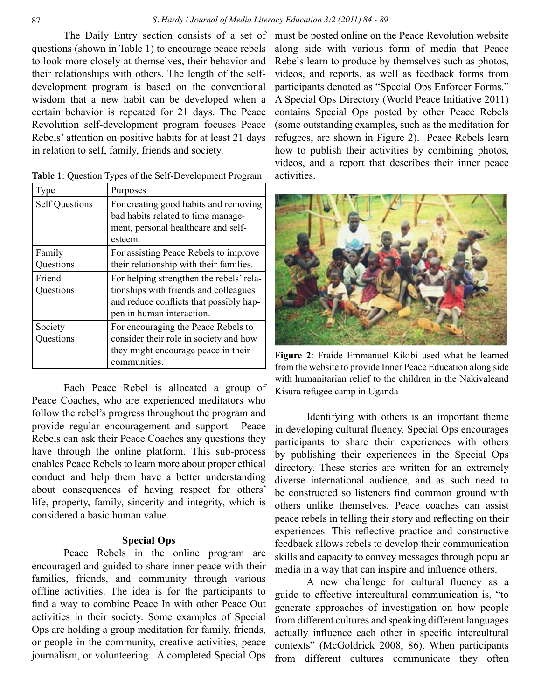questions (shown in Table 1) to encourage peace rebels to look more closely at themselves, their behavior and their relationships with others. The length of the selfdevelopment program is based on the conventional wisdom that a new habit can be developed when a certain behavior is repeated for 21 days. The Peace Revolution self-development program focuses Peace Rebels' attention on positive habits for at least 21 days in relation to self, family, friends and society.

| Type                  | Purposes                                                                                                                                                  |
|-----------------------|-----------------------------------------------------------------------------------------------------------------------------------------------------------|
| <b>Self Questions</b> | For creating good habits and removing<br>bad habits related to time manage-<br>ment, personal healthcare and self-<br>esteem.                             |
| Family<br>Questions   | For assisting Peace Rebels to improve<br>their relationship with their families.                                                                          |
| Friend<br>Questions   | For helping strengthen the rebels' rela-<br>tionships with friends and colleagues<br>and reduce conflicts that possibly hap-<br>pen in human interaction. |
| Society<br>Questions  | For encouraging the Peace Rebels to<br>consider their role in society and how<br>they might encourage peace in their<br>communities.                      |

**Table 1**: Question Types of the Self-Development Program

Each Peace Rebel is allocated a group of Peace Coaches, who are experienced meditators who follow the rebel's progress throughout the program and provide regular encouragement and support. Peace Rebels can ask their Peace Coaches any questions they have through the online platform. This sub-process enables Peace Rebels to learn more about proper ethical conduct and help them have a better understanding about consequences of having respect for others' life, property, family, sincerity and integrity, which is considered a basic human value.

## **Special Ops**

Peace Rebels in the online program are encouraged and guided to share inner peace with their families, friends, and community through various offline activities. The idea is for the participants to find a way to combine Peace In with other Peace Out activities in their society. Some examples of Special Ops are holding a group meditation for family, friends, or people in the community, creative activities, peace journalism, or volunteering. A completed Special Ops

The Daily Entry section consists of a set of must be posted online on the Peace Revolution website along side with various form of media that Peace Rebels learn to produce by themselves such as photos, videos, and reports, as well as feedback forms from participants denoted as "Special Ops Enforcer Forms." A Special Ops Directory (World Peace Initiative 2011) contains Special Ops posted by other Peace Rebels (some outstanding examples, such as the meditation for refugees, are shown in Figure 2). Peace Rebels learn how to publish their activities by combining photos, videos, and a report that describes their inner peace activities.



**Figure 2**: Fraide Emmanuel Kikibi used what he learned from the website to provide Inner Peace Education along side with humanitarian relief to the children in the Nakivaleand Kisura refugee camp in Uganda

Identifying with others is an important theme in developing cultural fluency. Special Ops encourages participants to share their experiences with others by publishing their experiences in the Special Ops directory. These stories are written for an extremely diverse international audience, and as such need to be constructed so listeners find common ground with others unlike themselves. Peace coaches can assist peace rebels in telling their story and reflecting on their experiences. This reflective practice and constructive feedback allows rebels to develop their communication skills and capacity to convey messages through popular media in a way that can inspire and influence others.

A new challenge for cultural fluency as a guide to effective intercultural communication is, "to generate approaches of investigation on how people from different cultures and speaking different languages actually influence each other in specific intercultural contexts" (McGoldrick 2008, 86). When participants from different cultures communicate they often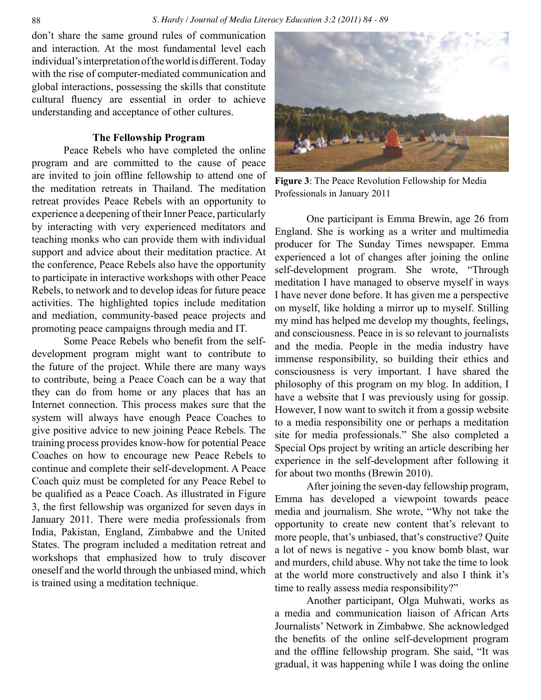#### 88 *S. Hardy / Journal of Media Literacy Education 3:2 (2011) 84 - 89*

don't share the same ground rules of communication and interaction. At the most fundamental level each individual's interpretation of the world is different. Today with the rise of computer-mediated communication and global interactions, possessing the skills that constitute cultural fluency are essential in order to achieve understanding and acceptance of other cultures.

## **The Fellowship Program**

Peace Rebels who have completed the online program and are committed to the cause of peace are invited to join offline fellowship to attend one of the meditation retreats in Thailand. The meditation retreat provides Peace Rebels with an opportunity to experience a deepening of their Inner Peace, particularly by interacting with very experienced meditators and teaching monks who can provide them with individual support and advice about their meditation practice. At the conference, Peace Rebels also have the opportunity to participate in interactive workshops with other Peace Rebels, to network and to develop ideas for future peace activities. The highlighted topics include meditation and mediation, community-based peace projects and promoting peace campaigns through media and IT.

Some Peace Rebels who benefit from the selfdevelopment program might want to contribute to the future of the project. While there are many ways to contribute, being a Peace Coach can be a way that they can do from home or any places that has an Internet connection. This process makes sure that the system will always have enough Peace Coaches to give positive advice to new joining Peace Rebels. The training process provides know-how for potential Peace Coaches on how to encourage new Peace Rebels to continue and complete their self-development. A Peace Coach quiz must be completed for any Peace Rebel to be qualified as a Peace Coach. As illustrated in Figure 3, the first fellowship was organized for seven days in January 2011. There were media professionals from India, Pakistan, England, Zimbabwe and the United States. The program included a meditation retreat and workshops that emphasized how to truly discover oneself and the world through the unbiased mind, which is trained using a meditation technique.



**Figure 3**: The Peace Revolution Fellowship for Media Professionals in January 2011

One participant is Emma Brewin, age 26 from England. She is working as a writer and multimedia producer for The Sunday Times newspaper. Emma experienced a lot of changes after joining the online self-development program. She wrote, "Through meditation I have managed to observe myself in ways I have never done before. It has given me a perspective on myself, like holding a mirror up to myself. Stilling my mind has helped me develop my thoughts, feelings, and consciousness. Peace in is so relevant to journalists and the media. People in the media industry have immense responsibility, so building their ethics and consciousness is very important. I have shared the philosophy of this program on my blog. In addition, I have a website that I was previously using for gossip. However, I now want to switch it from a gossip website to a media responsibility one or perhaps a meditation site for media professionals." She also completed a Special Ops project by writing an article describing her experience in the self-development after following it for about two months (Brewin 2010).

After joining the seven-day fellowship program, Emma has developed a viewpoint towards peace media and journalism. She wrote, "Why not take the opportunity to create new content that's relevant to more people, that's unbiased, that's constructive? Quite a lot of news is negative - you know bomb blast, war and murders, child abuse. Why not take the time to look at the world more constructively and also I think it's time to really assess media responsibility?"

Another participant, Olga Muhwati, works as a media and communication liaison of African Arts Journalists' Network in Zimbabwe. She acknowledged the benefits of the online self-development program and the offline fellowship program. She said, "It was gradual, it was happening while I was doing the online